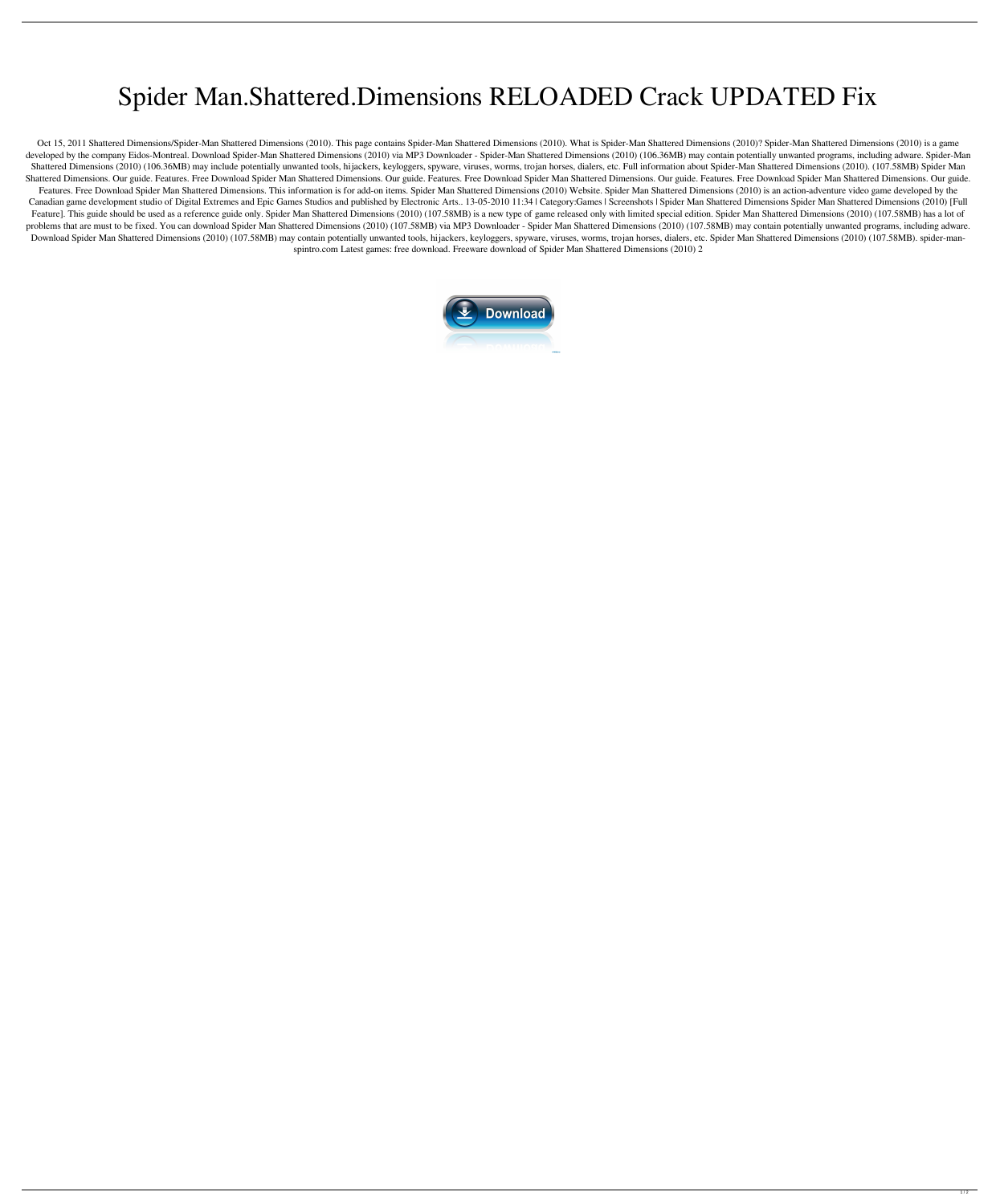## Spider Man.Shattered.Dimensions RELOADED Crack UPDATED Fix

Oct 15, 2011 Shattered Dimensions/Spider-Man Shattered Dimensions (2010). This page contains Spider-Man Shattered Dimensions (2010)? Spider-Man Shattered Dimensions (2010) is a game developed by the company Eidos-Montreal. Download Spider-Man Shattered Dimensions (2010) via MP3 Downloader - Spider-Man Shattered Dimensions (2010) (106.36MB) may contain potentially unwanted programs, including adware. S Shattered Dimensions (2010) (106.36MB) may include potentially unwanted tools, hijackers, keyloggers, spyware, viruses, worms, trojan horses, dialers, etc. Full information about Spider-Man Shattered Dimensions (2010). (10 Shattered Dimensions. Our guide. Features. Free Download Spider Man Shattered Dimensions. Our guide. Features Incel Dimensions. Our guide. Features. Free Download Spider Man Shattered Dimensions. Our guide. Features. Free Download Spider Man Shattered Dimensions. This information is for add-on items. Spider Man Shattered Dimensions (2010) is an action-adventure video game developed by the Canadian game development studio of Digital Extremes and Epic Games Studios and published by Electronic Arts.. 13-05-2010 11:34 | Category:Games | Screenshots | Spider Man Shattered Dimensions Spider Man Shattered Dimensio Feature]. This guide should be used as a reference guide only. Spider Man Shattered Dimensions (2010) (107.58MB) is a new type of game released only with limited special edition. Spider Man Shattered Dimensions (2010) (107 problems that are must to be fixed. You can download Spider Man Shattered Dimensions (2010) (107.58MB) wia MP3 Downloader - Spider Man Shattered Dimensions (2010) (107.58MB) may contain potentially unwanted programs, inclu Download Spider Man Shattered Dimensions (2010) (107.58MB) may contain potentially unwanted tools, hijackers, keyloggers, spyware, viruses, worms, trojan horses, dialers, etc. Spider Man Shattered Dimensions (2010) (107.58 spintro.com Latest games: free download. Freeware download of Spider Man Shattered Dimensions (2010) 2